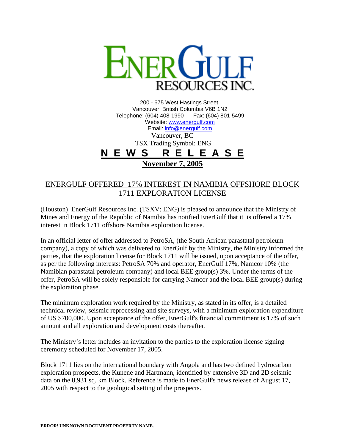

200 - 675 West Hastings Street, Vancouver, British Columbia V6B 1N2 Telephone: (604) 408-1990 Fax: (604) 801-5499 Website: www.energulf.com Email: info@energulf.com Vancouver, BC TSX Trading Symbol: ENG **N E W S R E L E A S E November 7, 2005**

## ENERGULF OFFERED 17% INTEREST IN NAMIBIA OFFSHORE BLOCK 1711 EXPLORATION LICENSE

(Houston) EnerGulf Resources Inc. (TSXV: ENG) is pleased to announce that the Ministry of Mines and Energy of the Republic of Namibia has notified EnerGulf that it is offered a 17% interest in Block 1711 offshore Namibia exploration license.

In an official letter of offer addressed to PetroSA, (the South African parastatal petroleum company), a copy of which was delivered to EnerGulf by the Ministry, the Ministry informed the parties, that the exploration license for Block 1711 will be issued, upon acceptance of the offer, as per the following interests: PetroSA 70% and operator, EnerGulf 17%, Namcor 10% (the Namibian parastatal petroleum company) and local BEE group(s) 3%. Under the terms of the offer, PetroSA will be solely responsible for carrying Namcor and the local BEE group(s) during the exploration phase.

The minimum exploration work required by the Ministry, as stated in its offer, is a detailed technical review, seismic reprocessing and site surveys, with a minimum exploration expenditure of US \$700,000. Upon acceptance of the offer, EnerGulf's financial commitment is 17% of such amount and all exploration and development costs thereafter.

The Ministry's letter includes an invitation to the parties to the exploration license signing ceremony scheduled for November 17, 2005.

Block 1711 lies on the international boundary with Angola and has two defined hydrocarbon exploration prospects, the Kunene and Hartmann, identified by extensive 3D and 2D seismic data on the 8,931 sq. km Block. Reference is made to EnerGulf's news release of August 17, 2005 with respect to the geological setting of the prospects.